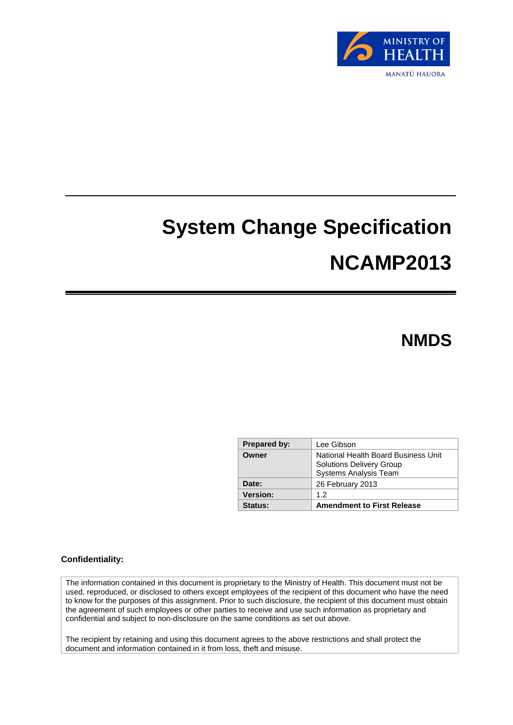

# **System Change Specification NCAMP2013**

# **NMDS**

| Prepared by:    | Lee Gibson                                                                                      |  |
|-----------------|-------------------------------------------------------------------------------------------------|--|
| Owner           | National Health Board Business Unit<br><b>Solutions Delivery Group</b><br>Systems Analysis Team |  |
| Date:           | 26 February 2013                                                                                |  |
| <b>Version:</b> | 12                                                                                              |  |
| Status:         | <b>Amendment to First Release</b>                                                               |  |

#### **Confidentiality:**

The information contained in this document is proprietary to the Ministry of Health. This document must not be used, reproduced, or disclosed to others except employees of the recipient of this document who have the need to know for the purposes of this assignment. Prior to such disclosure, the recipient of this document must obtain the agreement of such employees or other parties to receive and use such information as proprietary and confidential and subject to non-disclosure on the same conditions as set out above.

The recipient by retaining and using this document agrees to the above restrictions and shall protect the document and information contained in it from loss, theft and misuse.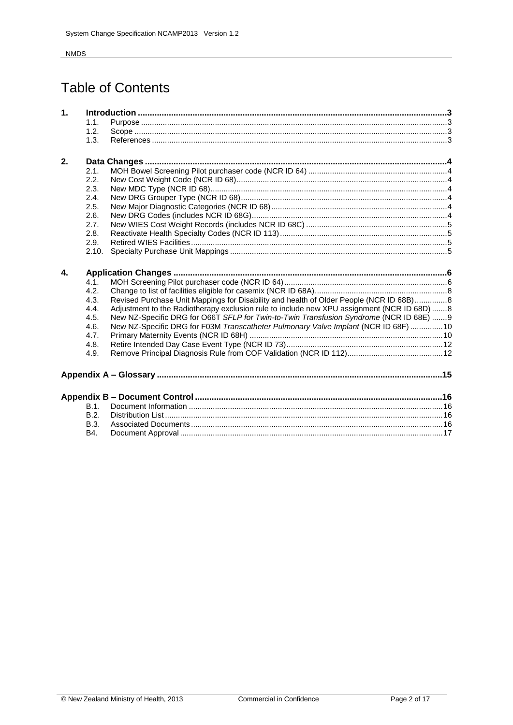# **Table of Contents**

| 1. |            |                                                                                            |
|----|------------|--------------------------------------------------------------------------------------------|
|    | 1.1.       |                                                                                            |
|    | 1.2.       |                                                                                            |
|    | 1.3.       |                                                                                            |
|    |            |                                                                                            |
| 2. |            |                                                                                            |
|    | 2.1.       |                                                                                            |
|    | 2.2.       |                                                                                            |
|    | 2.3.       |                                                                                            |
|    | 2.4.       |                                                                                            |
|    | 2.5.       |                                                                                            |
|    | 2.6.       |                                                                                            |
|    | 2.7.       |                                                                                            |
|    | 2.8.       |                                                                                            |
|    | 2.9.       |                                                                                            |
|    | 2.10.      |                                                                                            |
|    |            |                                                                                            |
| 4. |            |                                                                                            |
|    | 4.1.       |                                                                                            |
|    | 4.2.       |                                                                                            |
|    | 4.3.       | Revised Purchase Unit Mappings for Disability and health of Older People (NCR ID 68B)8     |
|    | 4.4.       | Adjustment to the Radiotherapy exclusion rule to include new XPU assignment (NCR ID 68D) 8 |
|    | 4.5.       | New NZ-Specific DRG for O66T SFLP for Twin-to-Twin Transfusion Syndrome (NCR ID 68E) 9     |
|    | 4.6.       | New NZ-Specific DRG for F03M Transcatheter Pulmonary Valve Implant (NCR ID 68F)  10        |
|    | 4.7.       |                                                                                            |
|    | 4.8.       |                                                                                            |
|    | 4.9.       |                                                                                            |
|    |            |                                                                                            |
|    |            |                                                                                            |
|    |            |                                                                                            |
|    | B.1.       |                                                                                            |
|    | B.2.       |                                                                                            |
|    | B.3.       |                                                                                            |
|    | <b>B4.</b> |                                                                                            |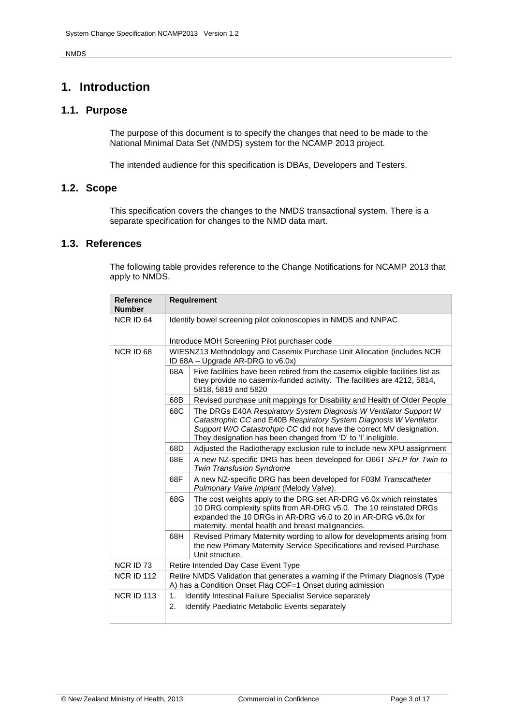### <span id="page-2-0"></span>**1. Introduction**

#### <span id="page-2-1"></span>**1.1. Purpose**

The purpose of this document is to specify the changes that need to be made to the National Minimal Data Set (NMDS) system for the NCAMP 2013 project.

The intended audience for this specification is DBAs, Developers and Testers.

#### <span id="page-2-2"></span>**1.2. Scope**

This specification covers the changes to the NMDS transactional system. There is a separate specification for changes to the NMD data mart.

#### <span id="page-2-3"></span>**1.3. References**

The following table provides reference to the Change Notifications for NCAMP 2013 that apply to NMDS.

| <b>Reference</b><br><b>Number</b>                     | <b>Requirement</b>                                                                                                                           |                                                                                                                                                                                                                                                                                  |  |
|-------------------------------------------------------|----------------------------------------------------------------------------------------------------------------------------------------------|----------------------------------------------------------------------------------------------------------------------------------------------------------------------------------------------------------------------------------------------------------------------------------|--|
| NCR ID 64                                             | Identify bowel screening pilot colonoscopies in NMDS and NNPAC                                                                               |                                                                                                                                                                                                                                                                                  |  |
|                                                       | Introduce MOH Screening Pilot purchaser code                                                                                                 |                                                                                                                                                                                                                                                                                  |  |
| NCR ID 68                                             |                                                                                                                                              | WIESNZ13 Methodology and Casemix Purchase Unit Allocation (includes NCR<br>ID 68A - Upgrade AR-DRG to v6.0x)                                                                                                                                                                     |  |
|                                                       | 68A                                                                                                                                          | Five facilities have been retired from the casemix eligible facilities list as<br>they provide no casemix-funded activity. The facilities are 4212, 5814,<br>5818, 5819 and 5820                                                                                                 |  |
|                                                       | 68B                                                                                                                                          | Revised purchase unit mappings for Disability and Health of Older People                                                                                                                                                                                                         |  |
|                                                       | 68C                                                                                                                                          | The DRGs E40A Respiratory System Diagnosis W Ventilator Support W<br>Catastrophic CC and E40B Respiratory System Diagnosis W Ventilator<br>Support W/O Catastrohpic CC did not have the correct MV designation.<br>They designation has been changed from 'D' to 'l' ineligible. |  |
| 68D<br>68E<br><b>Twin Transfusion Syndrome</b><br>68F |                                                                                                                                              | Adjusted the Radiotherapy exclusion rule to include new XPU assignment                                                                                                                                                                                                           |  |
|                                                       |                                                                                                                                              | A new NZ-specific DRG has been developed for O66T SFLP for Twin to                                                                                                                                                                                                               |  |
|                                                       |                                                                                                                                              | A new NZ-specific DRG has been developed for F03M Transcatheter<br>Pulmonary Valve Implant (Melody Valve).                                                                                                                                                                       |  |
|                                                       | 68G                                                                                                                                          | The cost weights apply to the DRG set AR-DRG v6.0x which reinstates<br>10 DRG complexity splits from AR-DRG v5.0. The 10 reinstated DRGs<br>expanded the 10 DRGs in AR-DRG v6.0 to 20 in AR-DRG v6.0x for<br>maternity, mental health and breast malignancies.                   |  |
|                                                       | 68H                                                                                                                                          | Revised Primary Maternity wording to allow for developments arising from<br>the new Primary Maternity Service Specifications and revised Purchase<br>Unit structure.                                                                                                             |  |
| NCR ID 73                                             | Retire Intended Day Case Event Type                                                                                                          |                                                                                                                                                                                                                                                                                  |  |
| <b>NCR ID 112</b>                                     | Retire NMDS Validation that generates a warning if the Primary Diagnosis (Type<br>A) has a Condition Onset Flag COF=1 Onset during admission |                                                                                                                                                                                                                                                                                  |  |
| <b>NCR ID 113</b>                                     | 1.                                                                                                                                           | Identify Intestinal Failure Specialist Service separately                                                                                                                                                                                                                        |  |
|                                                       | 2.                                                                                                                                           | Identify Paediatric Metabolic Events separately                                                                                                                                                                                                                                  |  |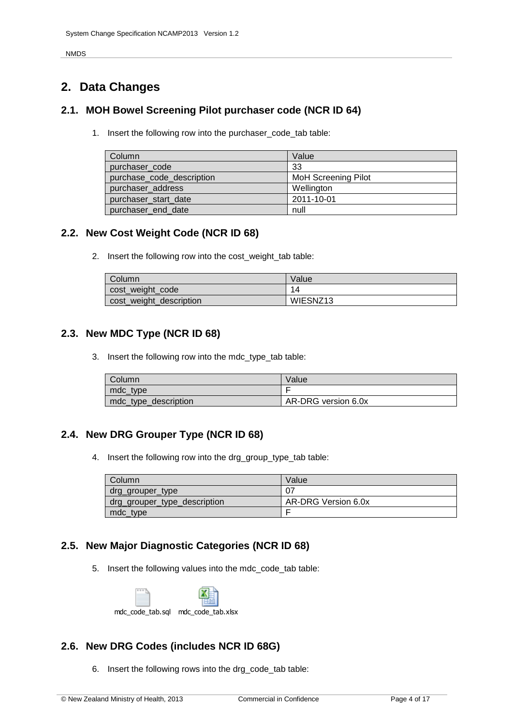## <span id="page-3-0"></span>**2. Data Changes**

#### <span id="page-3-1"></span>**2.1. MOH Bowel Screening Pilot purchaser code (NCR ID 64)**

1. Insert the following row into the purchaser\_code\_tab table:

| Column                    | Value                      |
|---------------------------|----------------------------|
| purchaser code            | -33                        |
| purchase_code_description | <b>MoH Screening Pilot</b> |
| purchaser address         | Wellington                 |
| purchaser_start_date      | 2011-10-01                 |
| purchaser end date        | null                       |

#### <span id="page-3-2"></span>**2.2. New Cost Weight Code (NCR ID 68)**

2. Insert the following row into the cost\_weight\_tab table:

| Column                  | Value    |
|-------------------------|----------|
| cost_weight_code        | 14       |
| cost_weight_description | WIESNZ13 |

#### <span id="page-3-3"></span>**2.3. New MDC Type (NCR ID 68)**

3. Insert the following row into the mdc\_type\_tab table:

| Column               | Value               |
|----------------------|---------------------|
| mdc_type             |                     |
| mdc_type_description | AR-DRG version 6.0x |

#### <span id="page-3-4"></span>**2.4. New DRG Grouper Type (NCR ID 68)**

4. Insert the following row into the drg\_group\_type\_tab table:

| Column                       | Value               |
|------------------------------|---------------------|
| drg_grouper_type             |                     |
| drg_grouper_type_description | AR-DRG Version 6.0x |
| mdc_type                     |                     |

#### <span id="page-3-5"></span>**2.5. New Major Diagnostic Categories (NCR ID 68)**

5. Insert the following values into the mdc\_code\_tab table:



#### <span id="page-3-6"></span>**2.6. New DRG Codes (includes NCR ID 68G)**

6. Insert the following rows into the drg\_code\_tab table: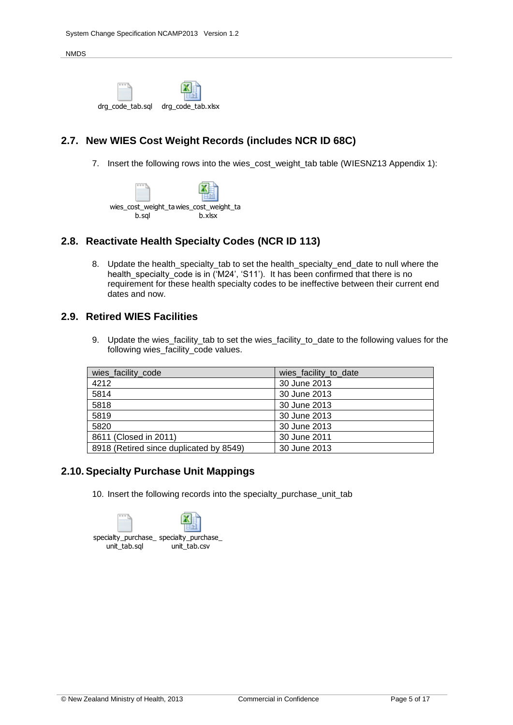



#### <span id="page-4-0"></span>**2.7. New WIES Cost Weight Records (includes NCR ID 68C)**



#### <span id="page-4-1"></span>**2.8. Reactivate Health Specialty Codes (NCR ID 113)**

#### <span id="page-4-2"></span>**2.9. Retired WIES Facilities**

| drg_code_tab.sql drg_code_tab.xlsx                                                                                                                                                         |                                                                                                                                                                                                                                                                         |
|--------------------------------------------------------------------------------------------------------------------------------------------------------------------------------------------|-------------------------------------------------------------------------------------------------------------------------------------------------------------------------------------------------------------------------------------------------------------------------|
| 2.7. New WIES Cost Weight Records (includes NCR ID 68C)                                                                                                                                    |                                                                                                                                                                                                                                                                         |
| 7.                                                                                                                                                                                         | Insert the following rows into the wies_cost_weight_tab table (WIESNZ13 Appendix 1)                                                                                                                                                                                     |
| wies_cost_weight_tawies_cost_weight_ta<br>$b$ . x $\mathsf{lsx}$<br>b.sql                                                                                                                  |                                                                                                                                                                                                                                                                         |
| 2.8. Reactivate Health Specialty Codes (NCR ID 113)                                                                                                                                        |                                                                                                                                                                                                                                                                         |
| 8.<br>dates and now.                                                                                                                                                                       | Update the health_specialty_tab to set the health_specialty_end_date to null where the<br>health_specialty_code is in ('M24', 'S11'). It has been confirmed that there is no<br>requirement for these health specialty codes to be ineffective between their current en |
| 2.9. Retired WIES Facilities                                                                                                                                                               |                                                                                                                                                                                                                                                                         |
| following wies_facility_code values.                                                                                                                                                       | 9. Update the wies_facility_tab to set the wies_facility_to_date to the following values for                                                                                                                                                                            |
| wies_facility_code                                                                                                                                                                         | wies_facility_to_date                                                                                                                                                                                                                                                   |
| 4212                                                                                                                                                                                       | 30 June 2013                                                                                                                                                                                                                                                            |
| 5814                                                                                                                                                                                       | 30 June 2013                                                                                                                                                                                                                                                            |
| 5818                                                                                                                                                                                       | 30 June 2013                                                                                                                                                                                                                                                            |
| 5819                                                                                                                                                                                       | 30 June 2013                                                                                                                                                                                                                                                            |
| 5820                                                                                                                                                                                       | 30 June 2013                                                                                                                                                                                                                                                            |
| 8611 (Closed in 2011)                                                                                                                                                                      | 30 June 2011                                                                                                                                                                                                                                                            |
| 8918 (Retired since duplicated by 8549)                                                                                                                                                    | 30 June 2013                                                                                                                                                                                                                                                            |
| 2.10. Specialty Purchase Unit Mappings<br>10. Insert the following records into the specialty_purchase_unit_tab<br>specialty_purchase_ specialty_purchase_<br>unit_tab.sql<br>unit tab.csv |                                                                                                                                                                                                                                                                         |
|                                                                                                                                                                                            |                                                                                                                                                                                                                                                                         |
| © New Zealand Ministry of Health, 2013                                                                                                                                                     | <b>Commercial in Confidence</b><br>Page 5 of 17                                                                                                                                                                                                                         |

#### <span id="page-4-3"></span>**2.10. Specialty Purchase Unit Mappings**

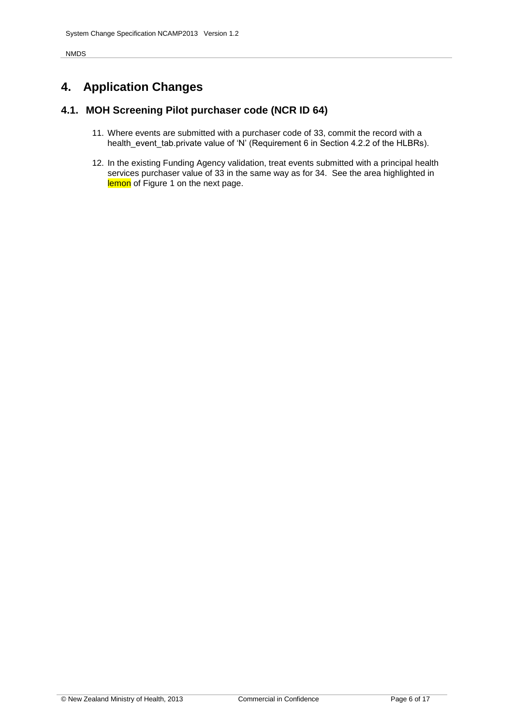## <span id="page-5-0"></span>**4. Application Changes**

#### <span id="page-5-1"></span>**4.1. MOH Screening Pilot purchaser code (NCR ID 64)**

- 11. Where events are submitted with a purchaser code of 33, commit the record with a health\_event\_tab.private value of 'N' (Requirement 6 in Section 4.2.2 of the HLBRs).
- 12. In the existing Funding Agency validation, treat events submitted with a principal health services purchaser value of 33 in the same way as for 34. See the area highlighted in lemon of [Figure 1](#page-6-0) on the next page.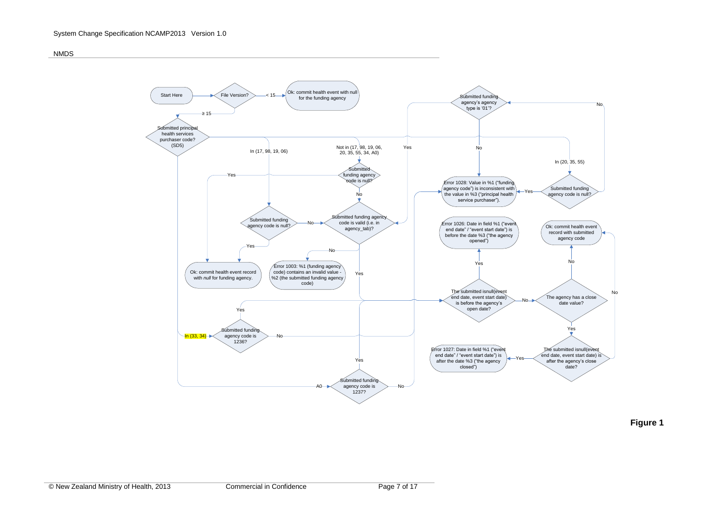

<span id="page-6-0"></span>

**Figure 1**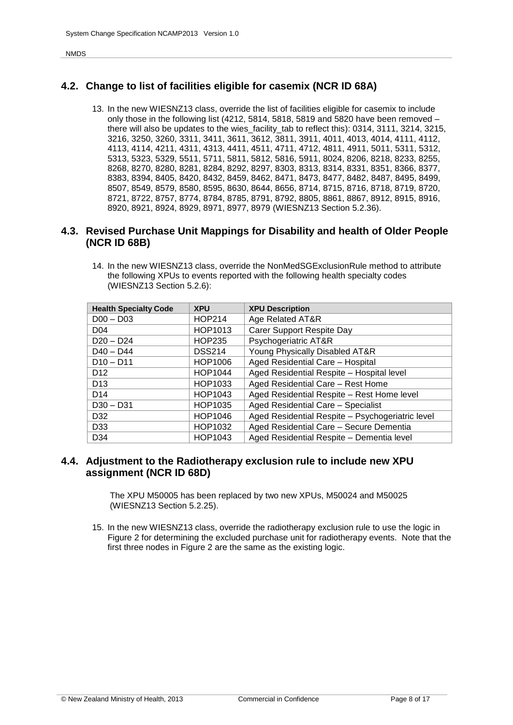#### <span id="page-7-0"></span>**4.2. Change to list of facilities eligible for casemix (NCR ID 68A)**

13. In the new WIESNZ13 class, override the list of facilities eligible for casemix to include only those in the following list (4212, 5814, 5818, 5819 and 5820 have been removed – there will also be updates to the wies facility tab to reflect this): 0314, 3111, 3214, 3215, 3216, 3250, 3260, 3311, 3411, 3611, 3612, 3811, 3911, 4011, 4013, 4014, 4111, 4112, 4113, 4114, 4211, 4311, 4313, 4411, 4511, 4711, 4712, 4811, 4911, 5011, 5311, 5312, 5313, 5323, 5329, 5511, 5711, 5811, 5812, 5816, 5911, 8024, 8206, 8218, 8233, 8255, 8268, 8270, 8280, 8281, 8284, 8292, 8297, 8303, 8313, 8314, 8331, 8351, 8366, 8377, 8383, 8394, 8405, 8420, 8432, 8459, 8462, 8471, 8473, 8477, 8482, 8487, 8495, 8499, 8507, 8549, 8579, 8580, 8595, 8630, 8644, 8656, 8714, 8715, 8716, 8718, 8719, 8720, 8721, 8722, 8757, 8774, 8784, 8785, 8791, 8792, 8805, 8861, 8867, 8912, 8915, 8916, 8920, 8921, 8924, 8929, 8971, 8977, 8979 (WIESNZ13 Section 5.2.36).

#### <span id="page-7-1"></span>**4.3. Revised Purchase Unit Mappings for Disability and health of Older People (NCR ID 68B)**

14. In the new WIESNZ13 class, override the NonMedSGExclusionRule method to attribute the following XPUs to events reported with the following health specialty codes (WIESNZ13 Section 5.2.6):

| <b>Health Specialty Code</b> | <b>XPU</b>    | <b>XPU Description</b>                           |
|------------------------------|---------------|--------------------------------------------------|
| $DOO - DO3$                  | <b>HOP214</b> | Age Related AT&R                                 |
| D <sub>04</sub>              | HOP1013       | Carer Support Respite Day                        |
| $D20 - D24$                  | <b>HOP235</b> | Psychogeriatric AT&R                             |
| $D40 - D44$                  | <b>DSS214</b> | Young Physically Disabled AT&R                   |
| $D10 - D11$                  | HOP1006       | Aged Residential Care - Hospital                 |
| D <sub>12</sub>              | HOP1044       | Aged Residential Respite - Hospital level        |
| D <sub>13</sub>              | HOP1033       | Aged Residential Care - Rest Home                |
| D <sub>14</sub>              | HOP1043       | Aged Residential Respite - Rest Home level       |
| $D30 - D31$                  | HOP1035       | Aged Residential Care - Specialist               |
| D32                          | HOP1046       | Aged Residential Respite - Psychogeriatric level |
| D <sub>33</sub>              | HOP1032       | Aged Residential Care - Secure Dementia          |
| D <sub>34</sub>              | HOP1043       | Aged Residential Respite - Dementia level        |

#### <span id="page-7-2"></span>**4.4. Adjustment to the Radiotherapy exclusion rule to include new XPU assignment (NCR ID 68D)**

The XPU M50005 has been replaced by two new XPUs, M50024 and M50025 (WIESNZ13 Section 5.2.25).

15. In the new WIESNZ13 class, override the radiotherapy exclusion rule to use the logic in [Figure 2](#page-8-1) for determining the excluded purchase unit for radiotherapy events. Note that the first three nodes in [Figure 2](#page-8-1) are the same as the existing logic.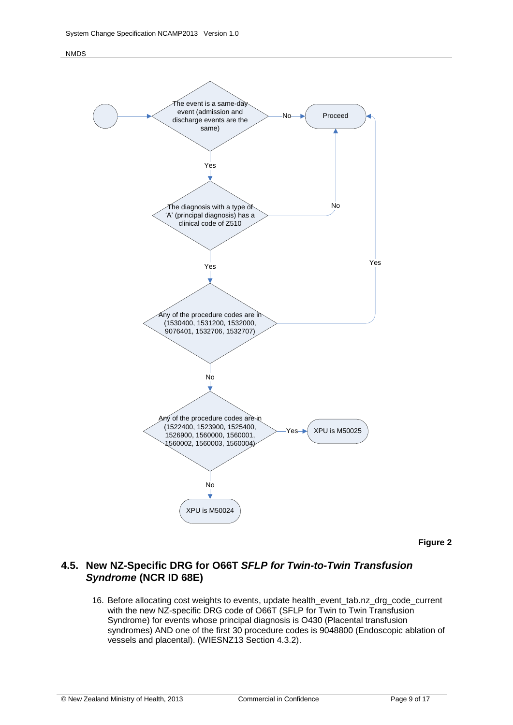#### NMDS



**Figure 2**

#### <span id="page-8-1"></span><span id="page-8-0"></span>**4.5. New NZ-Specific DRG for O66T** *SFLP for Twin-to-Twin Transfusion Syndrome* **(NCR ID 68E)**

16. Before allocating cost weights to events, update health\_event\_tab.nz\_drg\_code\_current with the new NZ-specific DRG code of O66T (SFLP for Twin to Twin Transfusion Syndrome) for events whose principal diagnosis is O430 (Placental transfusion syndromes) AND one of the first 30 procedure codes is 9048800 (Endoscopic ablation of vessels and placental). (WIESNZ13 Section 4.3.2).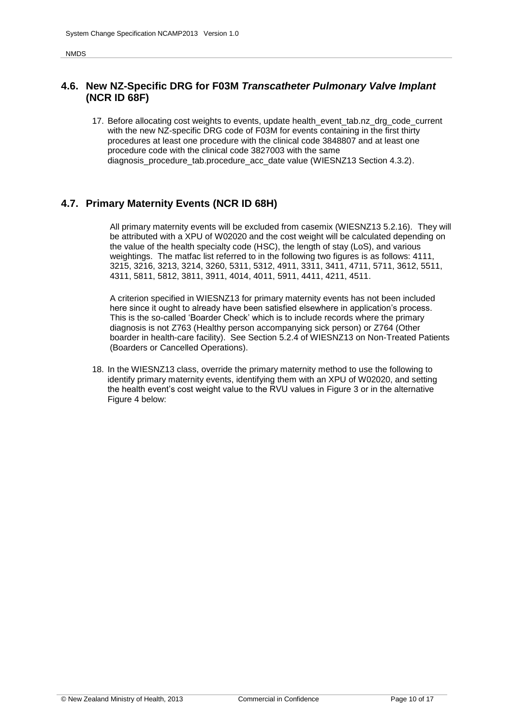#### <span id="page-9-0"></span>**4.6. New NZ-Specific DRG for F03M** *Transcatheter Pulmonary Valve Implant*  **(NCR ID 68F)**

17. Before allocating cost weights to events, update health\_event\_tab.nz\_drg\_code\_current with the new NZ-specific DRG code of F03M for events containing in the first thirty procedures at least one procedure with the clinical code 3848807 and at least one procedure code with the clinical code 3827003 with the same diagnosis\_procedure\_tab.procedure\_acc\_date value (WIESNZ13 Section 4.3.2).

#### <span id="page-9-1"></span>**4.7. Primary Maternity Events (NCR ID 68H)**

All primary maternity events will be excluded from casemix (WIESNZ13 5.2.16). They will be attributed with a XPU of W02020 and the cost weight will be calculated depending on the value of the health specialty code (HSC), the length of stay (LoS), and various weightings. The matfac list referred to in the following two figures is as follows: 4111, 3215, 3216, 3213, 3214, 3260, 5311, 5312, 4911, 3311, 3411, 4711, 5711, 3612, 5511, 4311, 5811, 5812, 3811, 3911, 4014, 4011, 5911, 4411, 4211, 4511.

A criterion specified in WIESNZ13 for primary maternity events has not been included here since it ought to already have been satisfied elsewhere in application's process. This is the so-called 'Boarder Check' which is to include records where the primary diagnosis is not Z763 (Healthy person accompanying sick person) or Z764 (Other boarder in health-care facility). See Section 5.2.4 of WIESNZ13 on Non-Treated Patients (Boarders or Cancelled Operations).

18. In the WIESNZ13 class, override the primary maternity method to use the following to identify primary maternity events, identifying them with an XPU of W02020, and setting the health event's cost weight value to the RVU values in [Figure 3](#page-10-0) or in the alternative [Figure 4](#page-11-2) below: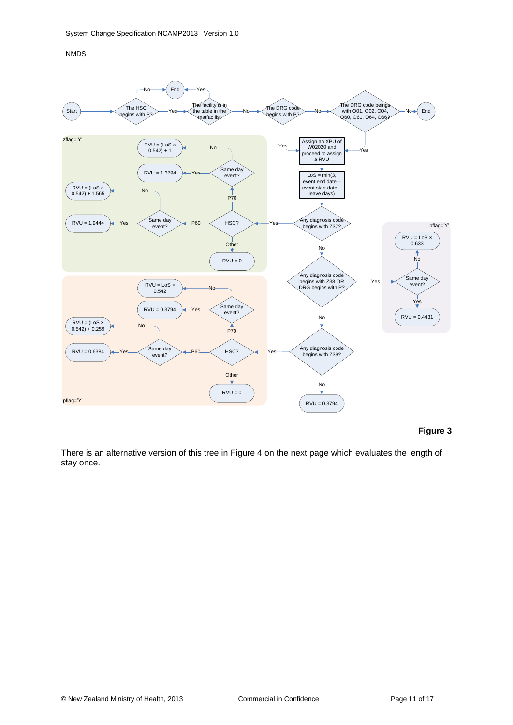

#### **Figure 3**

<span id="page-10-0"></span>There is an alternative version of this tree in [Figure 4](#page-11-2) on the next page which evaluates the length of stay once.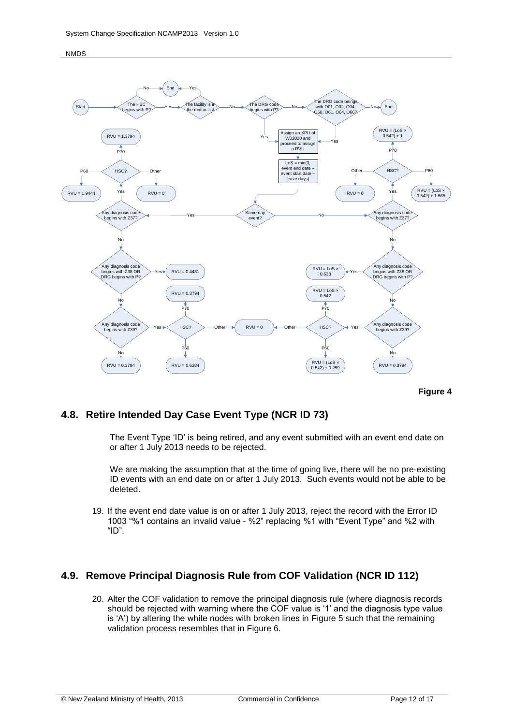

**Figure 4**

#### <span id="page-11-2"></span><span id="page-11-0"></span>**4.8. Retire Intended Day Case Event Type (NCR ID 73)**

The Event Type 'ID' is being retired, and any event submitted with an event end date on or after 1 July 2013 needs to be rejected.

We are making the assumption that at the time of going live, there will be no pre-existing ID events with an end date on or after 1 July 2013. Such events would not be able to be deleted.

19. If the event end date value is on or after 1 July 2013, reject the record with the Error ID 1003 "%1 contains an invalid value - %2" replacing %1 with "Event Type" and %2 with " $ID$ ".

#### <span id="page-11-1"></span>**4.9. Remove Principal Diagnosis Rule from COF Validation (NCR ID 112)**

20. Alter the COF validation to remove the principal diagnosis rule (where diagnosis records should be rejected with warning where the COF value is '1' and the diagnosis type value is 'A') by altering the white nodes with broken lines in [Figure 5](#page-12-0) such that the remaining validation process resembles that in [Figure 6.](#page-13-0)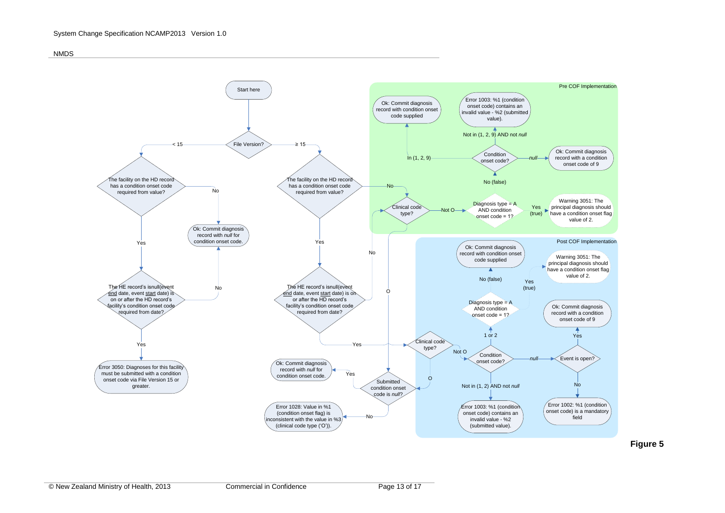

<span id="page-12-0"></span>

**Figure 5**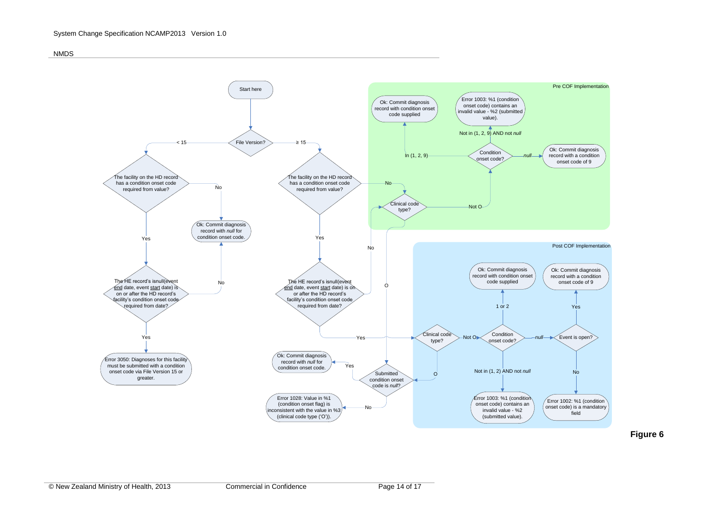

<span id="page-13-0"></span>

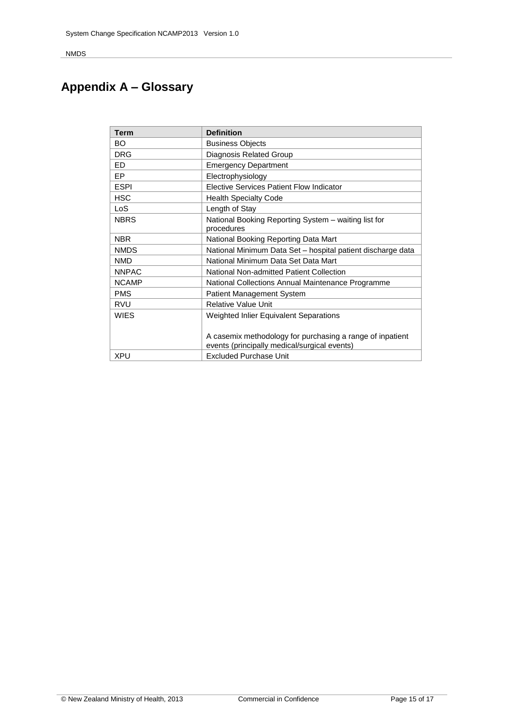# <span id="page-14-0"></span>**Appendix A – Glossary**

| <b>Term</b>  | <b>Definition</b>                                                                                         |  |  |
|--------------|-----------------------------------------------------------------------------------------------------------|--|--|
| BO.          | <b>Business Objects</b>                                                                                   |  |  |
| <b>DRG</b>   | Diagnosis Related Group                                                                                   |  |  |
| ED           | <b>Emergency Department</b>                                                                               |  |  |
| <b>EP</b>    | Electrophysiology                                                                                         |  |  |
| <b>ESPI</b>  | <b>Elective Services Patient Flow Indicator</b>                                                           |  |  |
| <b>HSC</b>   | <b>Health Specialty Code</b>                                                                              |  |  |
| <b>LoS</b>   | Length of Stay                                                                                            |  |  |
| <b>NBRS</b>  | National Booking Reporting System - waiting list for<br>procedures                                        |  |  |
| <b>NBR</b>   | National Booking Reporting Data Mart                                                                      |  |  |
| <b>NMDS</b>  | National Minimum Data Set - hospital patient discharge data                                               |  |  |
| <b>NMD</b>   | National Minimum Data Set Data Mart                                                                       |  |  |
| <b>NNPAC</b> | National Non-admitted Patient Collection                                                                  |  |  |
| <b>NCAMP</b> | National Collections Annual Maintenance Programme                                                         |  |  |
| <b>PMS</b>   | Patient Management System                                                                                 |  |  |
| <b>RVU</b>   | Relative Value Unit                                                                                       |  |  |
| <b>WIES</b>  | Weighted Inlier Equivalent Separations                                                                    |  |  |
|              | A casemix methodology for purchasing a range of inpatient<br>events (principally medical/surgical events) |  |  |
| <b>XPU</b>   | <b>Excluded Purchase Unit</b>                                                                             |  |  |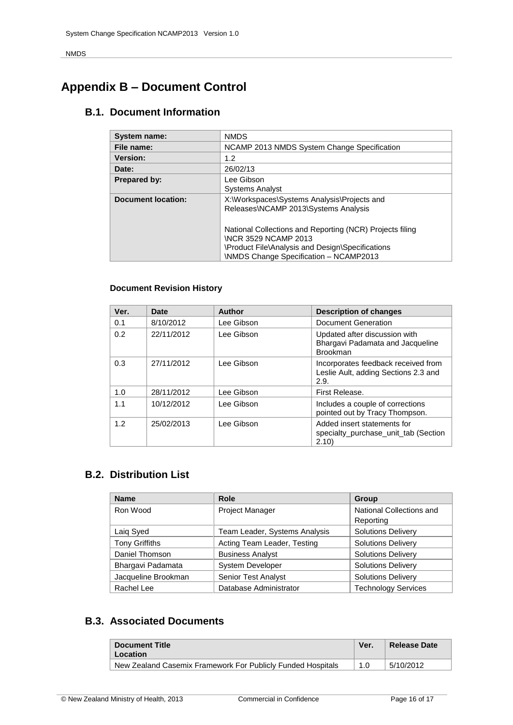# <span id="page-15-0"></span>**Appendix B – Document Control**

#### <span id="page-15-1"></span>**B.1. Document Information**

| System name:              | <b>NMDS</b>                                                                                                                                     |  |  |
|---------------------------|-------------------------------------------------------------------------------------------------------------------------------------------------|--|--|
| File name:                | NCAMP 2013 NMDS System Change Specification                                                                                                     |  |  |
| <b>Version:</b>           | 1.2                                                                                                                                             |  |  |
| Date:                     | 26/02/13                                                                                                                                        |  |  |
| Prepared by:              | Lee Gibson<br><b>Systems Analyst</b>                                                                                                            |  |  |
| <b>Document location:</b> | X:\Workspaces\Systems Analysis\Projects and<br>Releases\NCAMP 2013\Systems Analysis<br>National Collections and Reporting (NCR) Projects filing |  |  |
|                           | <b>NCR 3529 NCAMP 2013</b><br>\Product File\Analysis and Design\Specifications<br><b>\NMDS Change Specification - NCAMP2013</b>                 |  |  |

#### **Document Revision History**

| Ver. | <b>Date</b> | Author     | <b>Description of changes</b>                                                        |
|------|-------------|------------|--------------------------------------------------------------------------------------|
| 0.1  | 8/10/2012   | Lee Gibson | Document Generation                                                                  |
| 0.2  | 22/11/2012  | Lee Gibson | Updated after discussion with<br>Bhargavi Padamata and Jacqueline<br><b>Brookman</b> |
| 0.3  | 27/11/2012  | Lee Gibson | Incorporates feedback received from<br>Leslie Ault, adding Sections 2.3 and<br>2.9.  |
| 1.0  | 28/11/2012  | Lee Gibson | First Release.                                                                       |
| 1.1  | 10/12/2012  | Lee Gibson | Includes a couple of corrections<br>pointed out by Tracy Thompson.                   |
| 1.2  | 25/02/2013  | Lee Gibson | Added insert statements for<br>specialty purchase unit tab (Section<br>2.10)         |

#### <span id="page-15-2"></span>**B.2. Distribution List**

| <b>Name</b>           | <b>Role</b>                   | <b>Group</b>               |  |
|-----------------------|-------------------------------|----------------------------|--|
| Ron Wood              | Project Manager               | National Collections and   |  |
|                       |                               | Reporting                  |  |
| Laig Syed             | Team Leader, Systems Analysis | <b>Solutions Delivery</b>  |  |
| <b>Tony Griffiths</b> | Acting Team Leader, Testing   | <b>Solutions Delivery</b>  |  |
| Daniel Thomson        | <b>Business Analyst</b>       | <b>Solutions Delivery</b>  |  |
| Bhargavi Padamata     | <b>System Developer</b>       | <b>Solutions Delivery</b>  |  |
| Jacqueline Brookman   | <b>Senior Test Analyst</b>    | <b>Solutions Delivery</b>  |  |
| Rachel Lee            | Database Administrator        | <b>Technology Services</b> |  |

#### <span id="page-15-3"></span>**B.3. Associated Documents**

| <b>Document Title</b><br>Location                           | Ver. | <b>Release Date</b> |
|-------------------------------------------------------------|------|---------------------|
| New Zealand Casemix Framework For Publicly Funded Hospitals | 1.0  | 5/10/2012           |